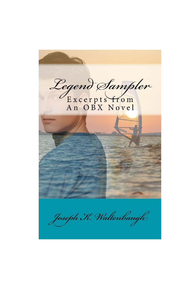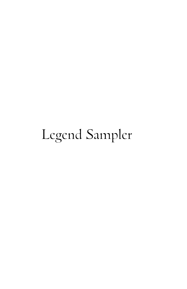## Legend Sampler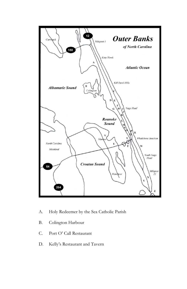

- A. Holy Redeemer by the Sea Catholic Parish
- B. Colington Harbour
- C. Port O' Call Restaurant
- D. Kelly's Restaurant and Tavern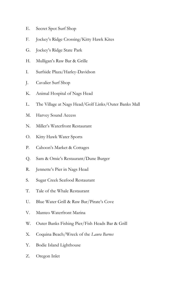- E. Secret Spot Surf Shop
- F. Jockey's Ridge Crossing/Kitty Hawk Kites
- G. Jockey's Ridge State Park
- H. Mulligan's Raw Bar & Grille
- I. Surfside Plaza/Harley-Davidson
- J. Cavalier Surf Shop
- K. Animal Hospital of Nags Head
- L. The Village at Nags Head/Golf Links/Outer Banks Mall
- M. Harvey Sound Access
- N. Miller's Waterfront Restaurant
- O. Kitty Hawk Water Sports
- P. Cahoon's Market & Cottages
- Q. Sam & Omie's Restaurant/Dune Burger
- R. Jennette's Pier in Nags Head
- S. Sugar Creek Seafood Restaurant
- T. Tale of the Whale Restaurant
- U. Blue Water Grill & Raw Bar/Pirate's Cove
- V. Manteo Waterfront Marina
- W. Outer Banks Fishing Pier/Fish Heads Bar & Grill
- X. Coquina Beach/Wreck of the *Laura Barnes*
- Y. Bodie Island Lighthouse
- Z. Oregon Inlet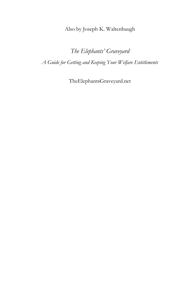#### Also by Joseph K. Waltenbaugh

#### *The Elephants' Graveyard*

*A Guide for Getting and Keeping Your Welfare Entitlements*

TheElephantsGraveyard.net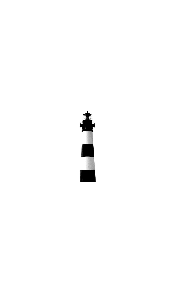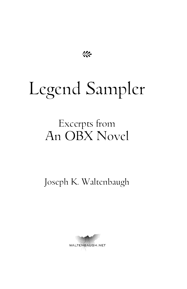<<<<

## Legend Sampler

## Excerpts from An OBX Novel

Joseph K. Waltenbaugh

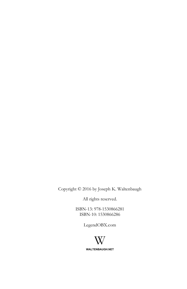Copyright © 2016 by Joseph K. Waltenbaugh

All rights reserved.

ISBN-13: 978-1530866281 ISBN-10: 1530866286

LegendOBX.com

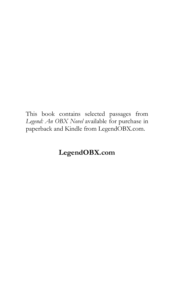This book contains selected passages from *Legend: An OBX Novel* available for purchase in paperback and Kindle from LegendOBX.com.

## **LegendOBX.com**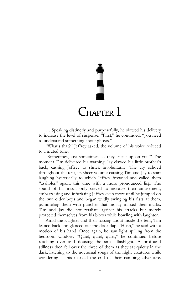## $\frac{1}{\sqrt{2}}$ CHAPTER 1

… Speaking distinctly and purposefully, he slowed his delivery to increase the level of suspense. "First," he continued, "you need to understand something about ghosts."

"What's that?" Jeffrey asked, the volume of his voice reduced to a muted tone.

"Sometimes, just sometimes … they sneak up on you!" The moment Tim delivered his warning, Jay clawed his little brother's back, causing Jeffrey to shriek involuntarily. The cry echoed throughout the tent, its sheer volume causing Tim and Jay to start laughing hysterically to which Jeffrey frowned and called them "assholes" again, this time with a more pronounced lisp. The sound of his insult only served to increase their amusement, embarrassing and infuriating Jeffrey even more until he jumped on the two older boys and began wildly swinging his fists at them, pummeling them with punches that mostly missed their marks. Tim and Jay did not retaliate against his attacks but merely protected themselves from his blows while howling with laughter.

Amid the laughter and their tossing about inside the tent, Tim leaned back and glanced out the door flap. "Hush," he said with a motion of his hand. Once again, he saw light spilling from the bedroom window. "Quiet, quiet, quiet," he continued before reaching over and dousing the small flashlight. A profound stillness then fell over the three of them as they sat quietly in the dark, listening to the nocturnal songs of the night creatures while wondering if this marked the end of their camping adventure.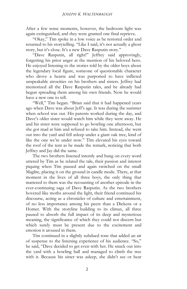After a few tense moments, however, the bedroom light was again extinguished, and they were granted one final reprieve.

"Okay," Tim spoke in a low voice as he restored order and returned to his storytelling. "Like I said, it's not actually a ghost story, but it's close. It's a new Dave Rasputin story."

"Dave Rasputin, all right!" Jeffrey said approvingly, forgetting his prior anger at the mention of his beloved hero. He enjoyed listening to the stories told by the older boys about the legendary local figure, someone of questionable character who drove a hearse and was purported to have inflicted unspeakable atrocities on his brothers and sisters. Jeffrey had memorized all the Dave Rasputin tales, and he already had begun spreading them among his own friends. Now he would have a new one to tell.

"Well," Tim began. "Brian said that it had happened years ago when Dave was about Jeff's age. It was during the summer when school was out. His parents worked during the day, and Dave's older sister would watch him while they were away. He and his sister were supposed to go bowling one afternoon, but she got mad at him and refused to take him. Instead, she went out into the yard and fell asleep under a giant oak tree, kind of like the one we're under now." Tim elevated his eyes toward the roof of the tent as he made the remark, noticing that both Jeffrey and Jay did the same.

The two brothers listened intently and hung on every word uttered by Tim as he related the tale, their passion and interest piquing when Tim paused and again switched on the small Maglite, placing it on the ground in candle mode. There, at that moment in the lives of all three boys, the only thing that mattered to them was the recounting of another episode in the ever-continuing saga of Dave Rasputin. As the two brothers hovered like moths around the light, their friend continued his discourse, acting as a chronicler of culture and entertainment, of no less importance among his peers than a Dickens or a Homer. With the storyline building to its climax, all three paused to absorb the full impact of its deep and mysterious meaning, the significance of which they could not discern but which surely must be present due to the excitement and emotion it aroused in them.

Tim continued in a slightly subdued tone that added an air of suspense to the listening experience of his audience. "So," he said, "Dave decided to get even with her. He snuck out into the yard with a bowling ball and managed to climb the tree with it. Because his sister was asleep, she didn't see or hear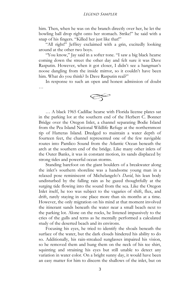him. Then, when he was on the branch directly over her, he let the bowling ball drop right onto her stomach. Strike!" he said with a snap of his fingers. "Killed her just like that!"

"All right!" Jeffrey exclaimed with a grin, excitedly looking around at the other two boys.

"You know," Jay said in a softer tone. "I saw a big black hearse coming down the street the other day and felt sure it was Dave Rasputin. However, when it got closer, I didn't see a hangman's noose dangling from the inside mirror, so it couldn't have been him. What do you think? Is Dave Rasputin real?"

In response to such an open and honest admission of doubt …



… A black 1965 Cadillac hearse with Florida license plates sat in the parking lot at the southern end of the Herbert C. Bonner Bridge over the Oregon Inlet, a channel separating Bodie Island from the Pea Island National Wildlife Refuge at the northernmost tip of Hatteras Island. Dredged to maintain a water depth of fourteen feet, the channel represented one of the few navigable routes into Pamlico Sound from the Atlantic Ocean beneath the arch at the southern end of the bridge. Like many other inlets of the Outer Banks, it was in constant motion, its sands displaced by strong tides and powerful ocean storms.

Standing barefoot on the giant boulders of a breakwater along the inlet's southern shoreline was a handsome young man in a relaxed pose reminiscent of Michelangelo's *David*, his lean body undisturbed by the falling rain as he gazed thoughtfully at the surging tide flowing into the sound from the sea. Like the Oregon Inlet itself, he too was subject to the vagaries of shift, flux, and drift, rarely staying in one place more than six months at a time. However, the only migration on his mind at that moment involved the itinerant sands beneath the water near a small beach next to the parking lot. Alone on the rocks, he listened impassively to the cries of the gulls and terns as he mentally performed a calculated study of the deserted beach and its environs.

Focusing his eyes, he tried to identify the shoals beneath the surface of the water, but the dark clouds hindered his ability to do so. Additionally, his rain-streaked sunglasses impaired his vision, so he removed them and hung them on the neck of his tee shirt, squinting and straining his eyes but still unable to detect any variation in water color. On a bright sunny day, it would have been an easy matter for him to discern the shallows of the inlet, but on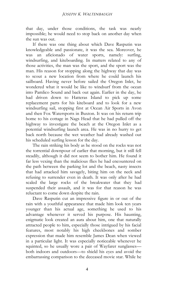that day, under those conditions, the task was nearly impossible; he would need to stop back on another day when the sun was out.

If there was one thing about which Dave Rasputin was knowledgeable and passionate, it was the sea. Moreover, he was an aficionado of water sports, namely: surfing, windsurfing, and kiteboarding. In matters related to any of those activities, the man was the sport, and the sport was the man. His reason for stopping along the highway that day was to scout a new location from where he could launch his sailboard. Having never before sailed the Oregon Inlet, he wondered what it would be like to windsurf from the ocean into Pamlico Sound and back out again. Earlier in the day, he had driven down to Hatteras Island to pick up some replacement parts for his kiteboard and to look for a new windsurfing sail, stopping first at Ocean Air Sports in Avon and then Fox Watersports in Buxton. It was on his return trip home to his cottage in Nags Head that he had pulled off the highway to investigate the beach at the Oregon Inlet as a potential windsurfing launch area. He was in no hurry to get back north because the wet weather had already washed out his scheduled surfing lesson for the day.

The rain striking his body as he stood on the rocks was not the torrential downpour of earlier that morning, but it still fell steadily, although it did not seem to bother him. He found it far less vexing than the malicious flies he had encountered on the path between the parking lot and the beach, nasty insects that had attacked him savagely, biting him on the neck and refusing to surrender even in death. It was only after he had scaled the large rocks of the breakwater that they had suspended their assault, and it was for that reason he was reluctant to come down despite the rain.

Dave Rasputin cut an impressive figure in or out of the rain with a youthful appearance that made him look ten years younger than his actual age, something he used to his advantage whenever it served his purpose. His haunting, enigmatic look created an aura about him, one that naturally attracted people to him, especially those intrigued by his facial features, most notably his high cheekbones and somber expression that made him resemble James Dean when viewed in a particular light. It was especially noticeable whenever he squinted, so he usually wore a pair of Wayfarer sunglasses both indoors and outdoors—to shield his eyes and avoid the embarrassing comparison to the deceased movie star. While he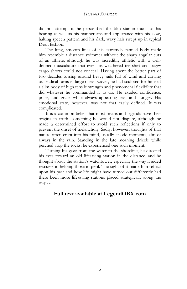#### Legend Sampler

did not attempt it, he personified the film star in much of his bearing as well as his mannerisms and appearance with his slow, halting speech pattern and his dark, wavy hair swept up in typical Dean fashion.

The long, smooth lines of his extremely tanned body made him resemble a distance swimmer without the sharp angular cuts of an athlete, although he was incredibly athletic with a welldefined musculature that even his weathered tee shirt and baggy cargo shorts could not conceal. Having spent the better part of two decades tossing around heavy sails full of wind and carving out radical turns in large ocean waves, he had sculpted for himself a slim body of high tensile strength and phenomenal flexibility that did whatever he commanded it to do. He exuded confidence, poise, and grace while always appearing lean and hungry. His emotional state, however, was not that easily defined. It was complicated.

It is a common belief that most myths and legends have their origins in truth, something he would not dispute, although he made a determined effort to avoid such reflections if only to prevent the onset of melancholy. Sadly, however, thoughts of that nature often crept into his mind, usually at odd moments, almost always in the rain. Standing in the late morning drizzle while perched atop the rocks, he experienced one such moment.

Turning his gaze from the water to the shoreline, he directed his eyes toward an old lifesaving station in the distance, and he thought about the station's watchtower, especially the way it aided rescuers in helping those in peril. The sight of it made him reflect upon his past and how life might have turned out differently had there been more lifesaving stations placed strategically along the way …

#### **Full text available at LegendOBX.com**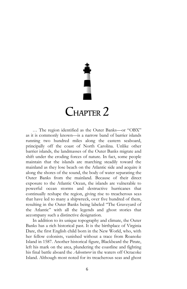## i<br>I<br>I CHAPTER<sub>2</sub>

… The region identified as the Outer Banks—or "OBX" as it is commonly known—is a narrow band of barrier islands running two hundred miles along the eastern seaboard, principally off the coast of North Carolina. Unlike other barrier islands, the landmasses of the Outer Banks migrate and shift under the eroding forces of nature. In fact, some people maintain that the islands are marching steadily toward the mainland as they lose beach on the Atlantic side and acquire it along the shores of the sound, the body of water separating the Outer Banks from the mainland. Because of their direct exposure to the Atlantic Ocean, the islands are vulnerable to powerful ocean storms and destructive hurricanes that continually reshape the region, giving rise to treacherous seas that have led to many a shipwreck, over five hundred of them, resulting in the Outer Banks being labeled "The Graveyard of the Atlantic" with all the legends and ghost stories that accompany such a distinctive designation.

In addition to its unique topography and climate, the Outer Banks has a rich historical past. It is the birthplace of Virginia Dare, the first English child born in the New World, who, with her fellow colonists, vanished without a trace from Roanoke Island in 1587. Another historical figure, Blackbeard the Pirate, left his mark on the area, plundering the coastline and fighting his final battle aboard the *Adventurer* in the waters off Ocracoke Island. Although most noted for its treacherous seas and ghost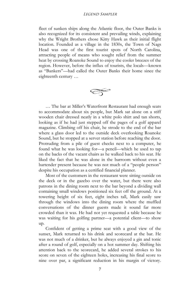fleet of sunken ships along the Atlantic floor, the Outer Banks is also recognized for its consistent and prevailing winds, explaining why the Wright Brothers chose Kitty Hawk as their initial flight location. Founded as a village in the 1830s, the Town of Nags Head was one of the first tourist spots of North Carolina, attracting people of means who sought relief from the summer heat by crossing Roanoke Sound to enjoy the cooler breezes of the region. However, before the influx of tourists, the locals—known as "Bankers"—had called the Outer Banks their home since the eighteenth century …



… The bar at Miller's Waterfront Restaurant had enough seats to accommodate about six people, but Mark sat alone on a stiff wooden chair dressed neatly in a white polo shirt and tan shorts, looking as if he had just stepped off the pages of a golf apparel magazine. Climbing off his chair, he strode to the end of the bar where a glass door led to the outside deck overlooking Roanoke Sound, but he stopped at a server station before reaching the door. Protruding from a pile of guest checks next to a computer, he found what he was looking for—a pencil—which he used to tap on the backs of the vacant chairs as he walked back to his seat. He liked the fact that he was alone in the barroom without even a bartender present because he was not much of a "people person" despite his occupation as a certified financial planner.

Most of the customers in the restaurant were sitting outside on the deck or in the gazebo over the water, but there were also patrons in the dining room next to the bar beyond a dividing wall containing small windows positioned six feet off the ground. At a towering height of six feet, eight inches tall, Mark easily saw through the windows into the dining room where the muffled conversations of the dinner guests made it sound far more crowded than it was. He had not yet requested a table because he was waiting for his golfing partner—a potential client—to show up.

Confident of getting a prime seat with a good view of the sunset, Mark returned to his drink and scorecard at the bar. He was not much of a drinker, but he always enjoyed a gin and tonic after a round of golf, especially on a hot summer day. Shifting his attention back to the scorecard, he added several strokes to his score on seven of the eighteen holes, increasing his final score to nine over par, a significant reduction in his margin of victory.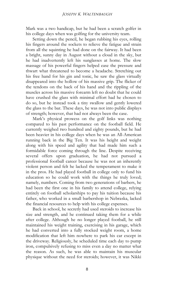Mark was a two handicap, but he had been a scratch golfer in his college days when was golfing for the university team.

Setting down the pencil, he began rubbing his eyes, rolling his fingers around the sockets to relieve the fatigue and strain from all the squinting he had done on the fairway. It had been a bright, sunny day in August without a cloud in the sky, but he had inadvertently left his sunglasses at home. The slow massage of his powerful fingers helped ease the pressure and thwart what threatened to become a headache. Stretching out his free hand for his gin and tonic, he saw the glass virtually disappeared into the hollow of his massive grip. The flicker of the tendons on the back of his hand and the rippling of the muscles across his massive forearm left no doubt that he could have crushed the glass with minimal effort had he chosen to do so, but he instead took a tiny swallow and gently lowered the glass to the bar. These days, he was not into public displays of strength; however, that had not always been the case.

Mark's physical prowess on the golf links was nothing compared to his past performance on the football field. He currently weighed two hundred and eighty pounds, but he had been heavier in his college days when he was an All-American running back in the Big Ten. It was his height and weight along with his speed and agility that had made him such a formidable force coming through the line. Despite receiving several offers upon graduation, he had not pursued a professional football career because he was not an inherently violent person and felt he lacked the temperament to make it in the pros. He had played football in college only to fund his education so he could work with the things he truly loved; namely, numbers. Coming from two generations of barbers, he had been the first one in his family to attend college, relying entirely on football scholarships to pay his tuition because his father, who worked in a small barbershop in Nebraska, lacked the financial resources to help with his college expenses.

Back in school, he secretly had used steroids to increase his size and strength, and he continued taking them for a while after college. Although he no longer played football, he still maintained his weight training, exercising in his garage, which he had converted into a fully stocked weight room, a home modification that left him nowhere to park his car except in the driveway. Religiously, he scheduled time each day to pump iron, compulsively refusing to miss even a day no matter what the reason. As such, he was able to maintain his muscular physique without the need for steroids; however, it was Nikki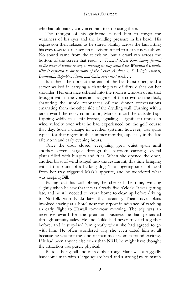who had ultimately convinced him to stop using them.

The thought of his girlfriend caused him to forget the weariness of his eyes and the building pressure in his head. His expression then relaxed as he stared blankly across the bar, lifting his eyes toward a flat-screen television tuned to a cable news show. No sound came from the television, but a crawl ran across the bottom of the screen that read: *… Tropical Storm Kim, having formed in the lower Atlantic region, is making its way toward the Windward Islands. Kim is expected to hit portions of the Lesser Antilles, U.S. Virgin Islands, Dominican Republic, Haiti, and Cuba early next week …* 

Just then, the door at the end of the bar burst open, and a server walked in carrying a clattering tray of dirty dishes on her shoulder. Her entrance ushered into the room a whoosh of air that brought with it the voices and laughter of the crowd on the deck, shattering the subtle resonances of the dinner conversations emanating from the other side of the dividing wall. Turning with a jerk toward the noisy commotion, Mark noticed the outside flags flapping wildly in a stiff breeze, signaling a significant uptick in wind velocity over what he had experienced on the golf course that day. Such a change in weather systems, however, was quite typical for that region in the summer months, especially in the late afternoon and early evening hours.

Once the door closed, everything grew quiet again until another server charged through the barroom carrying several plates filled with burgers and fries. When she opened the door, another blast of wind surged into the restaurant, this time bringing with it the sound of a barking dog. The lingering smell of food from her tray triggered Mark's appetite, and he wondered what was keeping Bill.

Pulling out his cell phone, he checked the time, wincing slightly when he saw that it was already five o'clock. It was getting late, and he still needed to return home to clean up before driving to Norfolk with Nikki later that evening. Their travel plans involved staying at a hotel near the airport in advance of catching an early flight to Hawaii tomorrow morning. The trip was an incentive award for the premium business he had generated through annuity sales. He and Nikki had never traveled together before, and it surprised him greatly when she had agreed to go with him. He often wondered why she even dated him at all because he was not the kind of man most women found exciting. If it had been anyone else other than Nikki, he might have thought the attraction was purely physical.

Besides being tall and incredibly strong, Mark was a ruggedly handsome man with a large square head and a strong jaw to match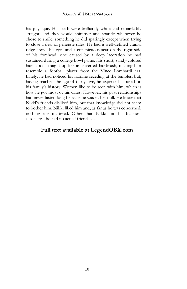#### Joseph K. Waltenbaugh

his physique. His teeth were brilliantly white and remarkably straight, and they would shimmer and sparkle whenever he chose to smile, something he did sparingly except when trying to close a deal or generate sales. He had a well-defined cranial ridge above his eyes and a conspicuous scar on the right side of his forehead, one caused by a deep laceration he had sustained during a college bowl game. His short, sandy-colored hair stood straight up like an inverted hairbrush, making him resemble a football player from the Vince Lombardi era. Lately, he had noticed his hairline receding at the temples, but, having reached the age of thirty-five, he expected it based on his family's history. Women like to be seen with him, which is how he got most of his dates. However, his past relationships had never lasted long because he was rather dull. He knew that Nikki's friends disliked him, but that knowledge did not seem to bother him. Nikki liked him and, as far as he was concerned, nothing else mattered. Other than Nikki and his business associates, he had no actual friends …

#### **Full text available at LegendOBX.com**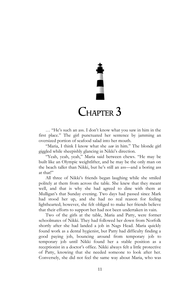# $\frac{1}{\sqrt{2}}$ CHAPTER 3

… "He's such an ass. I don't know what you saw in him in the first place." The girl punctuated her sentence by jamming an oversized portion of seafood salad into her mouth.

"Maria, I think I know what she *saw* in him." The blonde girl giggled while sheepishly glancing in Nikki's direction.

"Yeah, yeah, yeah," Maria said between chews. "He may be built like an Olympic weightlifter, and he may be the only man on the beach taller than Nikki, but he's still an ass—and a boring ass at that!"

All three of Nikki's friends began laughing while she smiled politely at them from across the table. She knew that they meant well, and that is why she had agreed to dine with them at Mulligan's that Sunday evening. Two days had passed since Mark had stood her up, and she had no real reason for feeling lighthearted; however, she felt obliged to make her friends believe that their efforts to support her had not been undertaken in vain.

Two of the girls at the table, Maria and Patty, were former schoolmates of Nikki. They had followed her down from Norfolk shortly after she had landed a job in Nags Head. Maria quickly found work as a dental hygienist, but Patty had difficulty finding a good paying job, bouncing around from temporary job to temporary job until Nikki found her a stable position as a receptionist in a doctor's office. Nikki always felt a little protective of Patty, knowing that she needed someone to look after her. Conversely, she did not feel the same way about Maria, who was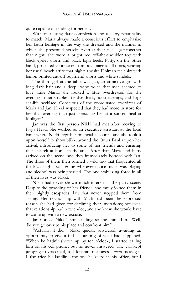quite capable of fending for herself.

With an alluring dark complexion and a sultry personality to match, Maria always made a conscious effort to emphasize her Latin heritage in the way she dressed and the manner in which she presented herself. Even at their casual get-together that night, she wore a bright red off-the-shoulder top with black eyelet shorts and black high heels. Patty, on the other hand, projected an innocent tomboy image at all times, wearing her usual beach attire that night: a white Dolman tee shirt with lemon printed cut-off boyfriend shorts and white sandals.

The third girl at the table was Jan, an attractive girl with long dark hair and a deep, raspy voice that men seemed to love. Like Maria, she looked a little overdressed for the evening in her strapless tie-dye dress, hoop earrings, and large sea-life necklace. Conscious of the coordinated overdress of Maria and Jan, Nikki suspected that they had more in store for her that evening than just consoling her at a sunset meal at Mulligan's.

Jan was the first person Nikki had met after moving to Nags Head. She worked as an executive assistant at the local bank where Nikki kept her financial accounts, and she took it upon herself to show Nikki around the Outer Banks upon her arrival, introducing her to some of her friends and ensuring that she felt at home in the area. After that, Maria and Patty arrived on the scene, and they immediately bonded with Jan. The three of them then formed a wild trio that frequented all the local nightspots, going wherever dance music was playing and alcohol was being served. The one stabilizing force in all of their lives was Nikki.

Nikki had never shown much interest in the party scene. Despite the prodding of her friends, she rarely joined them in their nightly escapades, but that never stopped them from asking. Her relationship with Mark had been the expressed reason she had given for declining their invitations; however, that relationship had now ended, and she knew she would have to come up with a new excuse.

Jan noticed Nikki's smile fading, so she chimed in. "Well, did you go over to his place and confront him?"

"Actually, I did." Nikki quickly answered, awaiting an opportunity to give a full accounting of what had happened. "When he hadn't shown up by ten o'clock, I started calling him on his cell phone, but he never answered. The call kept jumping to voicemail, so I left him messages—*many* messages. I also tried his landline, the one he keeps in his office, but I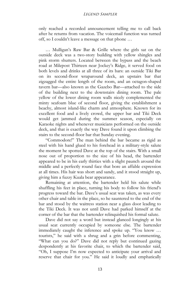#### Legend Sampler

only reached a recorded announcement telling me to call back after he returns from vacation. The voicemail function was turned off, so I couldn't leave a message on that phone …

… Mulligan's Raw Bar & Grille where the girls sat on the outside deck was a two-story building with yellow shingles and pink storm shutters. Located between the bypass and the beach road at Milepost Thirteen near Jockey's Ridge, it served food on both levels and drinks at all three of its bars: an outside Tiki Bar on its second-floor wraparound deck, an upstairs bar that zigzagged the entire length of the room, and an octagon-shaped tavern bar—also known as the Gazebo Bar—attached to the side of the building next to the downstairs dining room. The pale yellow of the lower dining room walls nicely complemented the minty seafoam blue of second floor, giving the establishment a beachy, almost island-like charm and atmosphere. Known for its excellent food and a lively crowd, the upper bar and Tiki Deck would get jammed during the summer season, especially on Karaoke nights and whenever musicians performed on the outside deck, and that is exactly the way Dave found it upon climbing the stairs to the second-floor bar that Sunday evening.

"Commodore!" The man behind the bar became as rigid as steel with his hand glued to his forehead in a military-style salute the moment he spotted Dave at the top of the stairs. With a small nose out of proportion to the size of his head, the bartender appeared to be in his early thirties with a slight paunch around the middle and a perfectly round face that bore an affable expression at all times. His hair was short and sandy, and it stood straight up, giving him a fuzzy Kuala bear appearance.

Remaining at attention, the bartender held his salute while shuffling his feet in place, turning his body to follow his friend's progress toward the bar. Dave's usual seat was taken, as was every other chair and table in the place, so he sauntered to the end of the bar and stood by the waitress station near a glass door leading to the Tiki Deck. It was not until Dave had parked himself at the corner of the bar that the bartender relinquished his formal salute.

Dave did not say a word but instead glanced longingly at his usual seat currently occupied by someone else. The bartender immediately caught the inference and spoke up. "You know … tourists," he said with a shrug and a grin before commenting, "What can you do?" Dave did not reply but continued gazing despondently at his favorite chair, to which the bartender said, "Oh, I suppose I'm now expected to anticipate your arrival and reserve that chair for you." He said it loudly and emphatically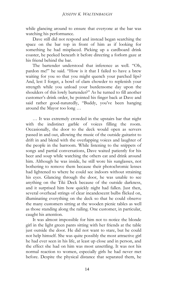while glancing around to ensure that everyone at the bar was watching his performance.

Dave still did not respond and instead began searching the space on the bar top in front of him as if looking for something he had misplaced. Picking up a cardboard drink coaster, he peeked beneath it before directing a forlorn gaze at his friend behind the bar.

The bartender understood that inference as well. "Oh, pardon me!" he said. "How is it that I failed to have a brew waiting for you so that you might quench your parched lips? And, lest I forget, a bowl of clam chowder to replenish your strength while you unload your burdensome day upon the shoulders of this lowly bartender?" As he turned to fill another customer's drink order, he pointed his finger back at Dave and said rather good-naturedly, "Buddy, you've been hanging around the Mayor too long …

… It was extremely crowded in the upstairs bar that night with the indistinct garble of voices filling the room. Occasionally, the door to the deck would open as servers passed in and out, allowing the music of the outside guitarist to drift in and blend with the overlapping voices and laughter of the people in the barroom. While listening to the snippets of songs and partial conversations, Dave waited patiently for his beer and soup while watching the others eat and drink around him. Although he was inside, he still wore his sunglasses, not bothering to remove them because their photochromic lenses had lightened to where he could see indoors without straining his eyes. Glancing through the door, he was unable to see anything on the Tiki Deck because of the outside darkness, and it surprised him how quickly night had fallen. Just then, several overhead strings of clear incandescent bulbs flicked on, illuminating everything on the deck so that he could observe the many customers sitting at the wooden picnic tables as well as those standing along the railing. One customer, in particular, caught his attention.

It was almost impossible for him not to notice the blonde girl in the light green pants sitting with her friends at the table just outside the door. He did not want to stare, but he could not help himself. She was quite possibly the most attractive girl he had ever seen in his life, at least up close and in person, and the effect she had on him was most unsettling. It was not his normal reaction to women, especially girls he had never met before. Despite the physical distance that separated them, he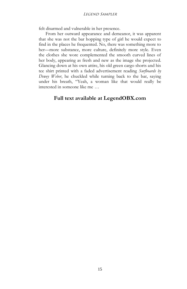felt disarmed and vulnerable in her presence.

From her outward appearance and demeanor, it was apparent that she was not the bar hopping type of girl he would expect to find in the places he frequented. No, there was something more to her—more substance, more culture, definitely more style. Even the clothes she wore complemented the smooth curved lines of her body, appearing as fresh and new as the image she projected. Glancing down at his own attire, his old green cargo shorts and his tee shirt printed with a faded advertisement reading *Surfboards by Dewey Weber*, he chuckled while turning back to the bar, saying under his breath, "Yeah, a woman like that would really be interested in someone like me …

#### **Full text available at LegendOBX.com**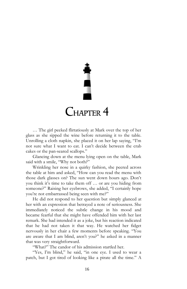

… The girl peeked flirtatiously at Mark over the top of her glass as she sipped the wine before returning it to the table. Unrolling a cloth napkin, she placed it on her lap saying, "I'm not sure what I want to eat. I can't decide between the crab cakes or the pan-seared scallops."

Glancing down at the menu lying open on the table, Mark said with a smile, "Why not both?"

Wrinkling her nose in a quirky fashion, she peered across the table at him and asked, "How can you read the menu with those dark glasses on? The sun went down hours ago. Don't you think it's time to take them off … or are you hiding from someone?" Raising her eyebrows, she added, "I certainly hope you're not embarrassed being seen with me?"

He did not respond to her question but simply glanced at her with an expression that betrayed a note of seriousness. She immediately noticed the subtle change in his mood and became fearful that she might have offended him with her last remark. She had intended it as a joke, but his reaction indicated that he had not taken it that way. He watched her fidget nervously in her chair a few moments before speaking. "You are aware that I am blind, aren't you?" he asked in a manner that was very straightforward.

"What?" The candor of his admission startled her.

"Yes, I'm blind," he said, "in one eye. I used to wear a patch, but I got tired of looking like a pirate all the time." A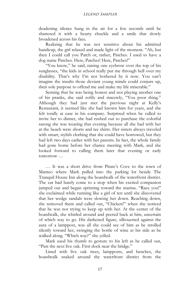deadening silence hung in the air for a few seconds until he shattered it with a hearty chuckle and a smile that slowly broadened across his face.

Realizing that he was not sensitive about his admitted handicap, the girl relaxed and made light of the moment. "Ah, but then I could call you Patch or, rather, Patches. I used to have a dog name Patches. Here, Patches! Here, Patches!"

"You know," he said, raising one eyebrow over the top of his sunglasses, "the kids in school really put me through hell over my disability. That's why I'm not bothered by it now. You can't imagine the insults those deviant young minds could conjure up, their sole purpose to offend me and make my life miserable."

Sensing that he was being honest and not playing another one of his pranks, she said softly and sincerely, "You poor thing." Although they had just met the previous night at Kelly's Restaurant, it seemed like she had known him for years, and she felt totally at ease in his company. Surprised when he called to invite her to dinner, she had rushed out to purchase the colorful sarong she was wearing that evening because all she had with her at the beach were shorts and tee shirts. Her sisters always traveled with smart, stylish clothing that she could have borrowed, but they had left two days earlier with her parents. In fact, the whole family had gone home before her chance meeting with Mark, and she looked forward to calling them later that evening or early tomorrow …

… It was a short drive from Pirate's Cove to the town of Manteo where Mark pulled into the parking lot beside The Tranquil House Inn along the boardwalk of the waterfront district. The car had barely come to a stop when his excited companion jumped out and began sprinting toward the marina. "Race you!" she exclaimed while running like a girl of ten until she discovered that her wedge sandals were slowing her down. Reaching down, she removed them and called out, "Chicken!" when she noticed that he was not trying to keep up with her. At the center of the boardwalk, she whirled around and peered back at him, uncertain of which way to go. His darkened figure, silhouetted against the aura of a lamppost, was all she could see of him as he strolled silently toward her, swinging the bottle of wine at his side as he walked along. "Which way?" she yelled.

Mark used his thumb to gesture to his left as he called out, "Past the next live oak. First dock near the bridge."

Lined with live oak trees, lampposts, and benches, the boardwalk snaked around the waterfront district from the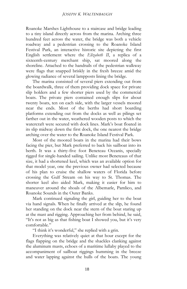#### Joseph K. Waltenbaugh

Roanoke Marshes Lighthouse to a staircase and bridge leading to a tiny island directly across from the marina. Arching three hundred feet across the water, the bridge was both a vehicle roadway and a pedestrian crossing to the Roanoke Island Festival Park, an interactive historic site depicting the first English settlement where the *Elizabeth II*, a replica of a sixteenth-century merchant ship, sat moored along the shoreline. Attached to the handrails of the pedestrian walkway were flags that snapped briskly in the fresh breeze amid the glowing radiance of several lampposts lining the bridge.

The marina consisted of several piers extending out from the boardwalk, three of them providing dock space for private slip holders and a few shorter piers used by the commercial boats. The private piers contained enough slips for about twenty boats, ten on each side, with the larger vessels moored near the ends. Most of the berths had short boarding platforms extending out from the docks as well as pilings set farther out in the water, weathered wooden posts to which the watercraft were secured with dock lines. Mark's boat floated in its slip midway down the first dock, the one nearest the bridge arching over the water to the Roanoke Island Festival Park.

Most of the moored boats in the marina had their bows facing the pier, but Mark preferred to back his sailboat into its berth. It was a thirty-five foot Beneteau Oceanis, specially rigged for single-handed sailing. Unlike most Beneteaus of that size, it had a shortened keel, which was an available option for that model year, one the previous owner had selected because of his plan to cruise the shallow waters of Florida before crossing the Gulf Stream on his way to St. Thomas. The shorter keel also aided Mark, making it easier for him to maneuver around the shoals of the Albemarle, Pamlico, and Roanoke Sounds in the Outer Banks.

Mark continued signaling the girl, guiding her to the boat via hand signals. When he finally arrived at the slip, he found her standing on the dock near the stern of the boat staring up at the mast and rigging. Approaching her from behind, he said, "It's not as big as that fishing boat I showed you, but it's very comfortable."

"I think it's wonderful," she replied with a grin.

Everything was relatively quiet at that hour except for the flags flapping on the bridge and the shackles clanking against the aluminum masts, echoes of a maritime lullaby played to the accompaniment of sailboat riggings humming in the breeze and water lapping against the hulls of the boats. The young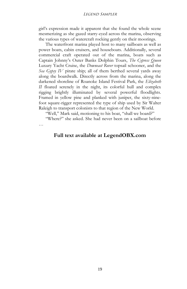girl's expression made it apparent that she found the whole scene mesmerizing as she gazed starry-eyed across the marina, observing the various types of watercraft rocking gently on their moorings.

The waterfront marina played host to many sailboats as well as power boats, cabin cruisers, and houseboats. Additionally, several commercial craft operated out of the marina, boats such as Captain Johnny's Outer Banks Dolphin Tours, *The Cypress Queen*  Luxury Yacht Cruise, the *Downeast Rover* topsail schooner, and the *Sea Gypsy IV* pirate ship; all of them berthed several yards away along the boardwalk. Directly across from the marina, along the darkened shoreline of Roanoke Island Festival Park, the *Elizabeth II* floated serenely in the night, its colorful hull and complex rigging brightly illuminated by several powerful floodlights. Framed in yellow pine and planked with juniper, the sixty-ninefoot square-rigger represented the type of ship used by Sir Walter Raleigh to transport colonists to that region of the New World.

"Well," Mark said, motioning to his boat, "shall we board?"

"Where?" she asked. She had never been on a sailboat before …

#### **Full text available at LegendOBX.com**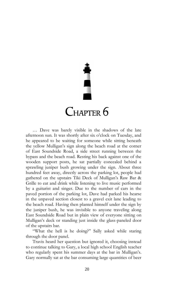## CHAPTER<sub>6</sub>

… Dave was barely visible in the shadows of the late afternoon sun. It was shortly after six o'clock on Tuesday, and he appeared to be waiting for someone while sitting beneath the yellow Mulligan's sign along the beach road at the corner of East Soundside Road, a side street running between the bypass and the beach road. Resting his back against one of the wooden support posts, he sat partially concealed behind a sprawling juniper bush growing under the sign. About three hundred feet away, directly across the parking lot, people had gathered on the upstairs Tiki Deck of Mulligan's Raw Bar & Grille to eat and drink while listening to live music performed by a guitarist and singer. Due to the number of cars in the paved portion of the parking lot, Dave had parked his hearse in the unpaved section closest to a gravel exit lane leading to the beach road. Having then planted himself under the sign by the juniper bush, he was invisible to anyone traveling along East Soundside Road but in plain view of everyone sitting on Mulligan's deck or standing just inside the glass-paneled door of the upstairs bar.

"What the hell is he doing?" Sally asked while staring through the door panel.

Travis heard her question but ignored it, choosing instead to continue talking to Gary, a local high school English teacher who regularly spent his summer days at the bar in Mulligan's. Gary normally sat at the bar consuming large quantities of beer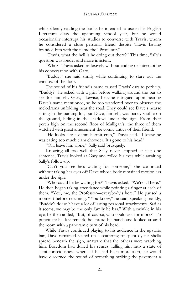while silently reading the books he intended to use in his English Literature class the upcoming school year, but he would occasionally interrupt his studies to converse with Travis, whom he considered a close personal friend despite Travis having branded him with the name the "Professor."

"Travis, what the hell is he doing out there?" This time, Sally's question was louder and more insistent.

"Who?" Travis asked reflexively without ending or interrupting his conversation with Gary.

"Buddy," she said shrilly while continuing to stare out the window of the door.

The sound of his friend's name caused Travis' ears to perk up. "Buddy?" he asked with a grin before walking around the bar to see for himself. Gary, likewise, became intrigued upon hearing Dave's name mentioned, so he too wandered over to observe the melodrama unfolding near the road. They could see Dave's hearse sitting in the parking lot, but Dave, himself, was barely visible on the ground, hiding in the shadows under the sign. From their perch high on the second floor of Mulligan's, the three of them watched with great amusement the comic antics of their friend.

"He looks like a damn hermit crab," Travis said. "I knew he was eating too much clam chowder. It's gone to his head."

"Oh, leave him alone," Sally said brusquely.

Knowing all too well that Sally never stopped at just one sentence, Travis looked at Gary and rolled his eyes while awaiting Sally's follow-up.

"Can't you see he's waiting for someone," she continued without taking her eyes off Dave whose body remained motionless under the sign.

"Who could he be waiting for?" Travis asked. "We're all here." He then began taking attendance while pointing a finger at each of them. "You, me, the Professor—everybody's here." He paused a moment before resuming. "You know," he said, speaking frankly, "Buddy's doesn't have a lot of lasting personal attachments. Sad as it seems, we may be the only family he has." With a twinkle in his eye, he then added, "But, of course, who could ask for more?" To punctuate his last remark, he spread his hands and looked around the room with a panoramic turn of his head.

While Travis continued playing to his audience in the upstairs bar, Dave remained seated on a scattering of spent oyster shells spread beneath the sign, unaware that the others were watching him. Boredom had dulled his senses, lulling him into a state of semi-consciousness where, if he had been more alert, he would have discerned the sound of something striking the pavement a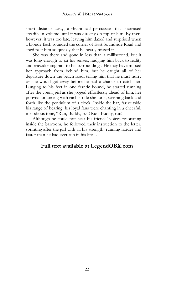short distance away, a rhythmical percussion that increased steadily in volume until it was directly on top of him. By then, however, it was too late, leaving him dazed and surprised when a blonde flash rounded the corner of East Soundside Road and sped past him so quickly that he nearly missed it.

She was there and gone in less than a millisecond, but it was long enough to jar his senses, nudging him back to reality and reawakening him to his surroundings. He may have missed her approach from behind him, but he caught all of her departure down the beach road, telling him that he must hurry or she would get away before he had a chance to catch her. Lunging to his feet in one frantic bound, he started running after the young girl as she jogged effortlessly ahead of him, her ponytail bouncing with each stride she took, swishing back and forth like the pendulum of a clock. Inside the bar, far outside his range of hearing, his loyal fans were chanting in a cheerful, melodious tone, "Run, Buddy, run! Run, Buddy, run!"

Although he could not hear his friends' voices resonating inside the barroom, he followed their instruction to the letter, sprinting after the girl with all his strength, running harder and faster than he had ever run in his life …

#### **Full text available at LegendOBX.com**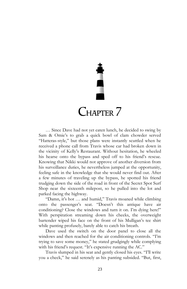

… Since Dave had not yet eaten lunch, he decided to swing by Sam & Omie's to grab a quick bowl of clam chowder served "Hatteras-style," but those plans were instantly scuttled when he received a phone call from Travis whose car had broken down in the vicinity of Kelly's Restaurant. Without hesitation, he wheeled his hearse onto the bypass and sped off to his friend's rescue. Knowing that Nikki would not approve of another diversion from his surveillance duties, he nevertheless jumped at the opportunity, feeling safe in the knowledge that she would never find out. After a few minutes of traveling up the bypass, he spotted his friend trudging down the side of the road in front of the Secret Spot Surf Shop near the sixteenth milepost, so he pulled into the lot and parked facing the highway.

"Damn, it's hot … and humid," Travis moaned while climbing onto the passenger's seat. "Doesn't this antique have air conditioning? Close the windows and turn it on. I'm dying here!" With perspiration streaming down his cheeks, the overweight bartender wiped his face on the front of his Mulligan's tee shirt while panting profusely, barely able to catch his breath.

Dave used the switch on the door panel to close all the windows and then reached for the air conditioning controls. "I'm trying to save some money," he stated grudgingly while complying with his friend's request. "It's expensive running the AC."

Travis slumped in his seat and gently closed his eyes. "I'll write you a check," he said serenely as his panting subsided. "But, first,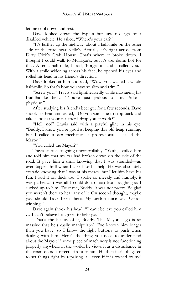let me cool down and rest."

Dave looked down the bypass but saw no sign of a disabled vehicle. He asked, "Where's your car?"

"It's farther up the highway, about a half-mile on the other side of the road near Kelly's. Actually, it's right across from Dirty Dick's Crab House. That's where it broke down. I thought I could walk to Mulligan's, but it's too damn hot for that. After a half-mile, I said, 'Forget it,' and I called you." With a smile widening across his face, he opened his eyes and rolled his head in his friend's direction.

Dave looked at him and said, "Wow, you walked a whole half-mile. So that's how you stay so slim and trim."

"Screw you," Travis said lightheartedly while massaging his Buddha-like belly. "You're just jealous of my Adonis physique."

After studying his friend's beer gut for a few seconds, Dave shook his head and asked, "Do you want me to stop back and take a look at your car after I drop you at work?"

"Hell, no!" Travis said with a playful glint in his eye. "Buddy, I know you're good at keeping this old heap running, but I called a *real* mechanic—a professional. I called the Mayor."

"You called the Mayor?"

Travis started laughing uncontrollably. "Yeah, I called him and told him that my car had broken down on the side of the road. It gave him a thrill knowing that I was stranded—an even bigger thrill when I asked for his help. He was absolutely ecstatic knowing that I was at his mercy, but I let him have his fun. I laid it on thick too. I spoke so meekly and humbly; it was pathetic. It was all I could do to keep from laughing as I sucked up to him. Trust me, Buddy, it was not pretty. Be glad you weren't there to hear any of it. On second thought, maybe you should have been there. My performance was Oscarwinning."

Dave again shook his head. "I can't believe you called him … I can't believe he agreed to help you."

"That's the beauty of it, Buddy. The Mayor's ego is so massive that he's easily manipulated. I've known him longer than you have, so I know the right buttons to push when dealing with him. Here's the thing you need to understand about the Mayor: if some piece of machinery is not functioning properly anywhere in the world, he views it as a disturbance in the cosmos and a direct affront to him. He then feels obligated to set things right by repairing it—even if it is owned by me!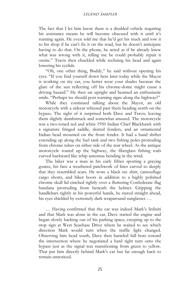#### Legend Sampler

The fact that I let him know there is a disabled vehicle requiring his assistance means he will become obsessed with it until it's running again. He even told me that he'd get his truck and tow it to his shop if he can't fix it on the road, but he doesn't anticipate having to do that. On the phone, he acted as if he already knew what was wrong with it, telling me he could probably repair it onsite." Travis then chuckled while reclining his head and again lowering his eyelids.

"Oh, one other thing, Buddy," he said without opening his eyes. "If you find yourself down here later today while the Mayor is working on my car, you better wear your shades because the glare of the sun reflecting off his chrome-dome might cause a driving hazard." He then sat upright and beamed an enthusiastic smile. "Perhaps we should post warning signs along the highway?"

While they continued talking about the Mayor, an old motorcycle with a sidecar whizzed past them heading north on the bypass. The sight of it surprised both Dave and Travis, leaving them slightly dumbstruck and somewhat amused. The motorcycle was a two-toned red and white 1950 Indian Chief Blackhawk with a signature fringed saddle, skirted fenders, and an ornamental Indian head mounted on the front fender. It had a hand shifter extending up along the fuel tank and two fishing poles protruding from chrome tubes on either side of the rear wheel. As the antique motorcycle roared up the highway, the fiberglass fishing rods curved backward like whip antennas bending in the wind.

The biker was a man in his early fifties sporting a graying goatee, his face a weathered patchwork of lines carved so deeply that they resembled scars. He wore a black tee shirt, camouflage cargo shorts, and biker boots in addition to a highly polished chrome skull lid cinched tightly over a fluttering Confederate flag bandana protruding from beneath the helmet. Gripping the handlebars tightly in his powerful hands, he stared straight ahead, his eyes shielded by extremely dark wraparound sunglasses …

… Having confirmed that the car was indeed Mark's Infiniti and that Mark was alone in the car, Dave started the engine and began slowly backing out of his parking space, creeping up to the stop sign at West Seachase Drive where he waited to see which direction Mark would turn when the traffic light changed. Observing him head south, Dave then barreled full bore toward the intersection where he negotiated a hard right turn onto the bypass just as the signal was transitioning from green to yellow. That put him directly behind Mark's car but far enough back to remain unnoticed.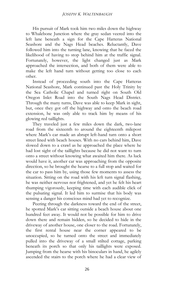His pursuit of Mark took him two miles down the highway to Whalebone Junction where the gray sedan veered into the left lane beneath a sign for the Cape Hatteras National Seashore and the Nags Head beaches. Reluctantly, Dave followed him into the turning lane, knowing that he faced the likelihood of having to stop behind him at the traffic signal. Fortunately, however, the light changed just as Mark approached the intersection, and both of them were able to make the left hand turn without getting too close to each other.

Instead of proceeding south into the Cape Hatteras National Seashore, Mark continued past the Holy Trinity by the Sea Catholic Chapel and turned right on South Old Oregon Inlet Road into the South Nags Head District. Through the many turns, Dave was able to keep Mark in sight, but, once they got off the highway and onto the beach road extension, he was only able to track him by means of his glowing red taillights.

They traveled just a few miles down the dark, two-lane road from the sixteenth to around the eighteenth milepost where Mark's car made an abrupt left-hand turn onto a short street lined with beach houses. With no cars behind him, Dave slowed down to a crawl as he approached the place where he had lost sight of the taillights because he did not want to turn onto a street without knowing what awaited him there. As luck would have it, another car was approaching from the opposite direction, so he brought the hearse to a full stop and waited for the car to pass him by, using those few moments to assess the situation. Sitting on the road with his left turn signal flashing, he was neither nervous nor frightened, and yet he felt his heart thumping vigorously, keeping time with each audible click of the pulsating signal. It led him to surmise that his body was sensing a danger his conscious mind had yet to recognize.

Peering through the darkness toward the end of the street, he spotted Mark's car sitting outside a beach house about one hundred feet away. It would not be possible for him to drive down there and remain hidden, so he decided to hide in the driveway of another house, one closer to the road. Fortunately, the first rental house near the corner appeared to be unoccupied, so he turned onto the street and immediately pulled into the driveway of a small stilted cottage, parking beneath its porch so that only his taillights were exposed. Jumping from the hearse with his binoculars in hand, he agilely ascended the stairs to the porch where he had a clear view of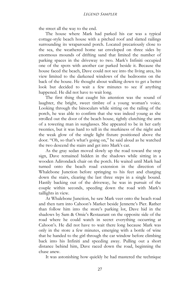the street all the way to the end.

The house where Mark had parked his car was a typical cottage-style beach house with a pitched roof and slatted railings surrounding its wraparound porch. Located precariously close to the sea, the weathered home sat enveloped on three sides by enormous mounds of drifting sand that limited the number of parking spaces in the driveway to two. Mark's Infiniti occupied one of the spots with another car parked beside it. Because the house faced the beach, Dave could not see into the living area, his view limited to the darkened windows of the bedrooms on the back of the house. He thought about walking down to get a better look but decided to wait a few minutes to see if anything happened. He did not have to wait long.

The first thing that caught his attention was the sound of laughter, the bright, sweet timbre of a young woman's voice. Looking through the binoculars while sitting on the railing of the porch, he was able to confirm that she was indeed young as she strolled out the door of the beach house, tightly clutching the arm of a towering man in sunglasses. She appeared to be in her early twenties, but it was hard to tell in the murkiness of the night and the weak glow of the single light fixture positioned above the door. "Oh, so that's what's going on," he said aloud as he watched the two descend the stairs and get into Mark's car.

As the gray sedan moved slowly up the road toward the stop sign, Dave remained hidden in the shadows while sitting in a wooden Adirondack chair on the porch. He waited until Mark had turned onto the beach road extension in the direction of Whalebone Junction before springing to his feet and charging down the stairs, clearing the last three steps in a single bound. Hastily backing out of the driveway, he was in pursuit of the couple within seconds, speeding down the road with Mark's taillights in view.

At Whalebone Junction, he saw Mark veer onto the beach road and then turn into Cahoon's Market beside Jennette's Pier. Rather than follow him into the store's parking lot, Dave hid in the shadows by Sam & Omie's Restaurant on the opposite side of the road where he could watch in secret everything occurring at Cahoon's. He did not have to wait there long because Mark was only in the store a few minutes, emerging with a bottle of wine that he handed to the girl through the car window before climbing back into his Infiniti and speeding away. Pulling out a short distance behind him, Dave raced down the road, beginning the chase anew.

It was astonishing how quickly he had mastered the technique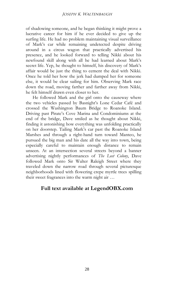of shadowing someone, and he began thinking it might prove a lucrative career for him if he ever decided to give up the surfing life. He had no problem maintaining visual surveillance of Mark's car while remaining undetected despite driving around in a circus wagon that practically advertised his presence, and he looked forward to telling Nikki about his newfound skill along with all he had learned about Mark's secret life. Yep, he thought to himself, his discovery of Mark's affair would be just the thing to cement the deal with Nikki. Once he told her how the jerk had dumped her for someone else, it would be clear sailing for him. Observing Mark race down the road, moving farther and farther away from Nikki, he felt himself drawn even closer to her.

He followed Mark and the girl onto the causeway where the two vehicles passed by Basnight's Lone Cedar Café and crossed the Washington Baum Bridge to Roanoke Island. Driving past Pirate's Cove Marina and Condominiums at the end of the bridge, Dave smiled as he thought about Nikki, finding it astonishing how everything was unfolding practically on her doorstep. Tailing Mark's car past the Roanoke Island Marshes and through a right-hand turn toward Manteo, he pursued the big man and his date all the way into town, being especially careful to maintain enough distance to remain unseen. At an intersection several streets beyond a banner advertising nightly performances of *The Lost Colony*, Dave followed Mark onto Sir Walter Raleigh Street where they traveled down the narrow road through several picturesque neighborhoods lined with flowering crepe myrtle trees spilling their sweet fragrances into the warm night air …

#### **Full text available at LegendOBX.com**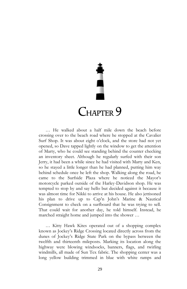# $\frac{1}{\sqrt{2}}$ CHAPTER 9

… He walked about a half mile down the beach before crossing over to the beach road where he stopped at the Cavalier Surf Shop. It was about eight o'clock, and the store had not yet opened, so Dave tapped lightly on the window to get the attention of Marty, who he could see standing behind the counter checking an inventory sheet. Although he regularly surfed with their son Jerry, it had been a while since he had visited with Marty and Ken, so he stayed a little longer than he had planned, putting him way behind schedule once he left the shop. Walking along the road, he came to the Surfside Plaza where he noticed the Mayor's motorcycle parked outside of the Harley-Davidson shop. He was tempted to stop by and say hello but decided against it because it was almost time for Nikki to arrive at his house. He also jettisoned his plan to drive up to Cap'n John's Marine & Nautical Consignment to check on a surfboard that he was trying to sell. That could wait for another day, he told himself. Instead, he marched straight home and jumped into the shower …

… Kitty Hawk Kites operated out of a shopping complex known as Jockey's Ridge Crossing located directly across from the dunes of Jockey's Ridge State Park on the bypass between the twelfth and thirteenth mileposts. Marking its location along the highway were blowing windsocks, banners, flags, and twirling windmills, all made of Sun Tex fabric. The shopping center was a long yellow building trimmed in blue with white ramps and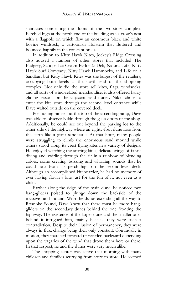staircases connecting the floors of the two-story complex. Perched high at the north end of the building was a crow's nest with a flagpole on which flew an enormous black and white bovine windsock, a cartoonish Holstein that fluttered and bounced happily in the constant breeze.

In addition to Kitty Hawk Kites, Jockey's Ridge Crossing also housed a number of other stores that included The Fudgery, Scoops Ice Cream Parlor & Deli, Natural Life, Kitty Hawk Surf Company, Kitty Hawk Hammocks, and Life on a Sandbar; but Kitty Hawk Kites was the largest of the retailers, occupying both levels at the north end of the shopping complex. Not only did the store sell kites, flags, windsocks, and all sorts of wind-related merchandise, it also offered hanggliding lessons on the adjacent sand dunes. Nikki chose to enter the kite store through the second level entrance while Dave waited outside on the covered deck.

Positioning himself at the top of the ascending ramp, Dave was able to observe Nikki through the glass doors of the shop. Additionally, he could see out beyond the parking lot to the other side of the highway where an eighty-foot dune rose from the earth like a giant sandcastle. At that hour, many people were struggling to climb the enormous sand mound while others stood along its crest flying kites in a variety of designs. He enjoyed watching the soaring kites, delicate wings of fabric diving and swirling through the air in a rainbow of blending colors, some creating buzzing and whizzing sounds that he could hear from his perch high on the second-level deck. Although an accomplished kiteboarder, he had no memory of ever having flown a kite just for the fun of it, not even as a child.

Farther along the ridge of the main dune, he noticed two hang-gliders poised to plunge down the backside of the massive sand mound. With the dunes extending all the way to Roanoke Sound, Dave knew that there must be more hanggliders on the secondary dunes behind the one fronting the highway. The existence of the larger dune and the smaller ones behind it intrigued him, mainly because they were such a contradiction. Despite their illusion of permanency, they were always in flux, change being their only constant. Continually in motion, they marched forward or receded backward depending upon the vagaries of the wind that drove them here or there. In that respect, he and the dunes were very much alike.

The shopping center was active that morning with many children and families scurrying from store to store. He seemed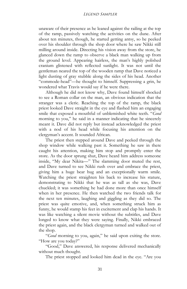#### Legend Sampler

unaware of their presence as he leaned against the railing at the top of the ramp, passively watching the activities on the dune. After about ten minutes, though, he started getting antsy, so he peeked over his shoulder through the shop door where he saw Nikki still milling around inside. Directing his vision away from the store, he glanced down the ramp to observe a black man walking up from the ground level. Appearing hairless, the man's highly polished cranium glistened with reflected sunlight. It was not until the gentleman neared the top of the wooden ramp that Dave noticed a light dusting of gray stubble along the sides of his head. Another "commode-head"—he thought to himself. Suppressing a grin, he wondered what Travis would say if he were there.

Although he did not know why, Dave found himself shocked to see a Roman collar on the man, an obvious indication that the stranger was a cleric. Reaching the top of the ramp, the black priest looked Dave straight in the eye and flashed him an engaging smile that exposed a mouthful of unblemished white teeth. "*Good* morning to you," he said in a manner indicating that he sincerely meant it. Dave did not reply but instead acknowledged the priest with a nod of his head while focusing his attention on the clergyman's accent. It sounded African.

The priest then stepped around Dave and peeked through the shop window while walking past it. Something he saw in there caught his attention, making him stop and promptly enter the store. As the door sprung shut, Dave heard him address someone inside, "My dear Nikita—" The slamming door muted the rest, and Dave turned to see Nikki rush over and embrace the priest, giving him a huge bear hug and an exceptionally warm smile. Watching the priest straighten his back to increase his stature, demonstrating to Nikki that he was as tall as she was, Dave chuckled; it was something he had done more than once himself when in her presence. He then watched the two friends talk for the next ten minutes, laughing and giggling as they did so. The priest was quite emotive, and, when something struck him as funny, he would stamp his feet in excitement and clap his hands. It was like watching a silent movie without the subtitles, and Dave longed to know what they were saying. Finally, Nikki embraced the priest again, and the black clergyman turned and walked out of the shop.

"*Good* morning to you, again," he said upon exiting the store. "How are you today?"

"Good," Dave answered, his response delivered mechanically without much thought.

The priest stopped and looked him dead in the eye. "Are you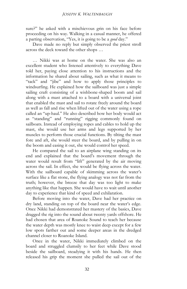#### Joseph K. Waltenbaugh

sure?" he asked with a mischievous grin on his face before proceeding on his way. Walking in a casual manner, he offered a parting observation, "Yes, it is going to be a *good* day."

Dave made no reply but simply observed the priest stroll across the deck toward the other shops …

… Nikki was at home on the water. She was also an excellent student who listened attentively to everything Dave told her, paying close attention to his instructions and the information he shared about sailing, such as what it means to "tack" and "jibe" and how to apply those principles to windsurfing. He explained how the sailboard was just a simple sailing craft consisting of a wishbone-shaped boom and sail along with a mast attached to a board with a universal joint that enabled the mast and sail to rotate freely around the board as well as fall and rise when lifted out of the water using a rope called an "up-haul." He also described how her body would act as "standing" and "running" rigging commonly found on sailboats. Instead of employing ropes and cables to hold up the mast, she would use her arms and legs supported by her muscles to perform those crucial functions. By tilting the mast fore and aft, she would steer the board, and by pulling in on the boom and easing it out, she would control her speed.

He compared the sail to an airplane wing standing on its end and explained that the board's movement through the water would result from "lift" generated by the air moving across the sail. In effect, she would be flying across the water. With the sailboard capable of skimming across the water's surface like a flat stone, the flying analogy was not far from the truth; however, the breeze that day was too light to make anything like that happen. She would have to wait until another day to experience that kind of speed and exhilaration.

Before moving into the water, Dave had her practice on dry land, standing on top of the board near the water's edge. Once Nikki had demonstrated her mastery of the basics, Dave dragged the rig into the sound about twenty yards offshore. He had chosen that area of Roanoke Sound to teach her because the water depth was mostly knee to waist deep except for a few low spots farther out and some deeper areas in the dredged channel closer to Roanoke Island.

Once in the water, Nikki immediately climbed on the board and struggled clumsily to her feet while Dave stood beside the sailboard, steadying it with his hands. He then released his grip the moment she pulled the sail out of the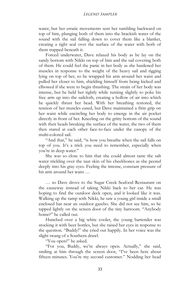#### Legend Sampler

water, but her erratic movements sent her tumbling backward on top of him, plunging both of them into the brackish water of the sound with the sail falling down to cover them like a blanket, creating a tight seal over the surface of the water with both of them trapped beneath it.

Forced underwater, Dave relaxed his body as he lay on the sandy bottom with Nikki on top of him and the sail covering both of them. He could feel the panic in her body as she hardened her muscles in response to the weight of the heavy sail and rigging lying on top of her, so he wrapped his arm around her waist and pulled her closer to him, shielding himself from being kicked and elbowed if she were to begin thrashing. The strain of her body was intense, but he held her tightly while turning slightly to poke his free arm up into the sailcloth, creating a hollow of air into which he quickly thrust her head. With her breathing restored, the tension of her muscles eased, but Dave maintained a firm grip on her waist while encircling her body to emerge in the air pocket directly in front of her. Kneeling on the gritty bottom of the sound with their heads breaking the surface of the water, the two of them then stared at each other face-to-face under the canopy of the multi-colored sail.

"And that," he said, "is how you breathe when the sail falls on top of you. It's a trick you need to remember, especially when you're in deep water."

She was so close to him that she could almost taste the salt water trickling over the taut skin of his cheekbones as she peered deeply into his gray eyes. Feeling the intense, constant pressure of his arm around her waist …

… so Dave drove to the Sugar Creek Seafood Restaurant on the causeway instead of taking Nikki back to her car. He was hoping to find the outdoor deck open, and it looked like it was. Walking up the ramp with Nikki, he saw a young girl inside a small enclosed bar near an outdoor gazebo. She did not see him, so he tapped lightly on the screen door of the tiny barroom. "Anybody home?" he called out.

Hunched over a big white cooler, the young bartender was stocking it with beer bottles, but she raised her eyes in response to the question. "Buddy!" she cried out happily. In her voice was the slight twang of a Southern drawl.

"You open?" he asked.

"For you, Buddy, we're always open. Actually," she said, smiling at him through the screen door, "I've been here about fifteen minutes. You're my second customer." Nodding her head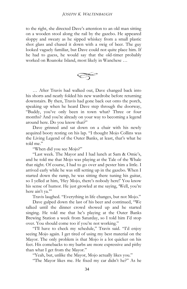to the right, she directed Dave's attention to an old man sitting on a wooden stool along the rail by the gazebo. He appeared sloppy and sweaty as he sipped whiskey from a small plastic shot glass and chased it down with a swig of beer. The guy looked vaguely familiar, but Dave could not quite place him. If he had to guess, he would say that the old-timer probably worked on Roanoke Island, most likely in Wanchese …

 $\bigotimes$ 

… After Travis had walked out, Dave changed back into his shorts and neatly folded his new wardrobe before returning downstairs. By then, Travis had gone back out onto the porch, speaking up when he heard Dave step through the doorway, "Buddy, you've only been in town what? Three or four months? And you're already on your way to becoming a legend around here. Do you know that?"

Dave grinned and sat down on a chair with his newly acquired booty resting on his lap. "I thought Mojo Collins was the Living Legend of the Outer Banks, at least, that's what he told me."

"When did you see Mojo?"

"Last week. The Mayor and I had lunch at Sam & Omie's, and he told me that Mojo was playing at the Tale of the Whale that night. Of course, I had to go over and pester him a little. I arrived early while he was still setting up in the gazebo. When I started down the ramp, he was sitting there tuning his guitar, so I yelled at him, 'Hey Mojo, there's nobody here!' You know his sense of humor. He just growled at me saying, 'Well, you're here ain't ya.""

Travis laughed. "Everything in life changes, but not Mojo."

Dave gulped down the last of his beer and continued, "We talked until the dinner crowd showed up and he started singing. He told me that he's playing at the Outer Banks Brewing Station a week from Saturday, so I told him I'd stop over. You should come too if you're not working."

"I'll have to check my schedule," Travis said. "I'd enjoy seeing Mojo again. I get tired of using my best material on the Mayor. The only problem is that Mojo is a lot quicker on his feet. His comebacks to my barbs are more expressive and pithy than what I get from the Mayor."

"Yeah, but, unlike the Mayor, Mojo actually likes you."

"The Mayor likes me. He fixed my car didn't he?" As he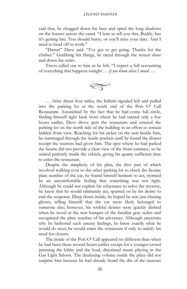#### Legend Sampler

said that, he chugged down his beer and spied the long shadows on the houses across the canal. "I hate to tell you this, Buddy, but it's getting late. You should hurry, or you'll miss your date. And I need to head off to work."

"Damn!" Dave said. "I've got to get going. Thanks for the clothes." Grabbing his things, he raced through the screen door and down the stairs.

Travis called out to him as he left, "I expect a full accounting of everything that happens tonight … *if you know what I mean*! …



… After about four miles, the Infiniti signaled left and pulled into the parking lot at the south end of the Port O' Call Restaurant. Astonished by the fact that he had come full circle, finding himself right back from where he had started only a few hours earlier, Dave drove past the restaurant and entered the parking lot on the north side of the building in an effort to remain hidden from view. Reaching for his jacket on the seat beside him, he rummaged through the inside pockets until he found the dinner receipt the waitress had given him. The spot where he had parked the hearse did not provide a clear view of the front entrance, so he waited patiently inside the vehicle, giving his quarry sufficient time to enter the restaurant.

Despite the simplicity of his plan, the first part of which involved walking over to the other parking lot to check the license plate number of the car, he found himself hesitant to act, stymied by an uncomfortable feeling that something was not right. Although he could not explain his reluctance to solve the mystery, he knew that he would ultimately act, spurred on by his desire to end the suspense. Deep down inside, he hoped he was just chasing ghosts, telling himself that the car most likely belonged to someone else; however, his wishful desires were quickly dashed when he stood at the rear bumper of the familiar gray sedan and recognized the plate number of his adversary. Although uncertain why he harbored such uneasy feelings, he knew exactly what he would do next; he would enter the restaurant if only to satisfy his need for closure.

The inside of the Port O' Call appeared no different than when he had been there several hours earlier except for a younger crowd jamming the lobby and the loud, disjointed music playing in the Gas Light Saloon. The deafening volume inside the place did not surprise him because he had already heard the din of the raucous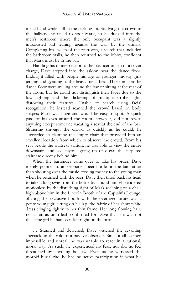metal band while still in the parking lot. Studying the crowd in the hallway, he failed to spot Mark, so he ducked into the men's restroom where the only occupant was a slightly intoxicated kid leaning against the wall by the urinals. Completing his sweep of the restroom, a search that included the bathroom stalls, he then returned to the lobby, confident that Mark must be in the bar.

Handing his dinner receipt to the bouncer in lieu of a cover charge, Dave stepped into the saloon near the dance floor, finding it filled with people his age or younger, mostly girls jerking and gyrating to the heavy metal beat. Those not on the dance floor were milling around the bar or sitting at the rear of the room, but he could not distinguish their faces due to the low lighting and the flickering of multiple strobe lights distorting their features. Unable to search using facial recognition, he instead scanned the crowd based on body shapes; Mark was huge and would be easy to spot. A quick pass of his eyes around the room, however, did not reveal anything except someone vacating a seat at the end of the bar. Slithering through the crowd as quickly as he could, he succeeded in claiming the empty chair that provided him an excellent location from which to observe the crowd. From his seat beside the waitress station, he was able to view the entire downstairs and see anyone going up or down the carpeted staircase directly behind him.

When the bartender came over to take his order, Dave merely pointed to an orphaned beer bottle on the bar rather than shouting over the music, tossing money to the young man when he returned with the beer. Dave then tilted back his head to take a long swig from the bottle but found himself rendered motionless by the disturbing sight of Mark reclining on a chair high above him in the Lincoln Booth of the Captain's Lounge. Sharing the exclusive booth with the oversized brute was a petite young girl sitting on his lap, the fabric of her short white dress clinging tightly to her thin frame. Her long flowing hair, red as an autumn leaf, confirmed for Dave that she was not the same girl he had seen last night on the boat …

… Stunned and detached, Dave watched the revolting spectacle in the role of a passive observer. Since it all seemed impossible and unreal, he was unable to react in a rational, moral way. As such, he experienced no fear, nor did he feel threatened by anything he saw. Even as he witnessed the morbid burial rite, he had no active participation in what his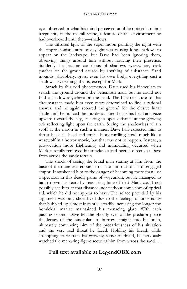eyes observed or what his mind perceived until he noticed a minor irregularity in the overall scene, a feature of the environment he had overlooked until then—shadows.

The diffused light of the super moon painting the night with the impressionistic aura of daylight was causing long shadows to appear on the landscape, but Dave had been ignoring them, observing things around him without noticing their presence. Suddenly, he became conscious of shadows everywhere, dark patches on the ground caused by anything of substance. Sand mounds, shrubbery, grass, even his own body; everything cast a shadow—everything, that is, except for Mark.

Struck by this odd phenomenon, Dave used his binoculars to search the ground around the behemoth man, but he could not find a shadow anywhere on the sand. The bizarre nature of this circumstance made him even more determined to find a rational answer, and he again scoured the ground for the elusive lunar shade until he noticed the murderous fiend raise his head and gaze upward toward the sky, sneering in open defiance at the glowing orb reflecting light upon the earth. Seeing the shadowless villain scoff at the moon in such a manner, Dave half-expected him to thrust back his head and emit a bloodcurdling howl, much like a werewolf in a horror movie, but that was not to happen. Instead, a provocation more frightening and intimidating occurred when Mark carefully removed his sunglasses and peered directly at Dave from across the sandy terrain.

The shock of seeing the lethal man staring at him from the base of the dune was enough to shake him out of his disengaged stupor. It awakened him to the danger of becoming more than just a spectator in this deadly game of voyeurism, but he managed to tamp down his fears by reassuring himself that Mark could not possibly see him at that distance, not without some sort of optical aid, which he did not appear to have. The solace provided by his argument was only short-lived due to the feelings of uncertainty that bubbled up almost instantly, steadily increasing the longer the homicidal maniac maintained his menacing glare. With each passing second, Dave felt the ghostly eyes of the predator pierce the lenses of the binoculars to burrow straight into his brain, ultimately convincing him of the precariousness of his situation and the very real threat he faced. Holding his breath while attempting to restrain his growing sense of dread, he nervously watched the menacing figure scowl at him from across the sand …

#### **Full text available at LegendOBX.com**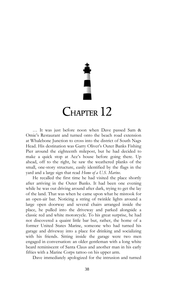# CHAPTER 12

… It was just before noon when Dave passed Sam & Omie's Restaurant and turned onto the beach road extension at Whalebone Junction to cross into the district of South Nags Head. His destination was Garry Oliver's Outer Banks Fishing Pier around the eighteenth milepost, but he had decided to make a quick stop at Ace's house before going there. Up ahead, off to the right, he saw the weathered planks of the small, one-story structure, easily identified by the flags in the yard and a large sign that read *Home of a U.S. Marine*.

He recalled the first time he had visited the place shortly after arriving in the Outer Banks. It had been one evening while he was out driving around after dark, trying to get the lay of the land. That was when he came upon what he mistook for an open-air bar. Noticing a string of twinkle lights around a large open doorway and several chairs arranged inside the place, he pulled into the driveway and parked alongside a classic red and white motorcycle. To his great surprise, he had not discovered a quaint little bar but, rather, the home of a former United States Marine, someone who had turned his garage and driveway into a place for drinking and socializing with his friends. Sitting inside the garage were two men engaged in conversation: an older gentleman with a long white beard reminiscent of Santa Claus and another man in his early fifties with a Marine Corps tattoo on his upper arm.

Dave immediately apologized for the intrusion and turned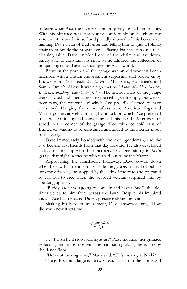to leave when Ace, the owner of the property, invited him to stay. With his bleached whiskers resting comfortably on his chest, the veteran introduced himself and proudly showed off his home after handing Dave a can of Budweiser and telling him to grab a folding chair from beside the propane grill. Placing his beer can on a fishcleaning table, Dave unfolded one of the chairs and sat down, barely able to constrain his smile as he admired the collection of unique objects and artifacts comprising Ace's world.

Between the porch and the garage was an old wooden bench inscribed with a written endorsement suggesting that people enjoy Budweiser at Fish Heads Bar & Grill, Mulligan's, Applebee's, and Sam & Omie's. Above it was a sign that read *Home of a U.S. Marine, Budweiser drinking, Earnhardt Jr. fan*. The interior walls of the garage were stacked and lined almost to the ceiling with empty Budweiser beer cans, the contents of which Ace proudly claimed to have consumed. Hanging from the rafters were American flags and Marine posters as well as a sling hammock on which Ace preferred to sit while drinking and conversing with his friends. A refrigerator stood in the corner of the garage filled with ice cold cans of Budweiser waiting to be consumed and added to the interior motif of the garage.

Dave immediately bonded with the older gentleman, and the two became fast friends from that day forward. He also developed a close relationship with the other service veteran sitting in Ace's garage that night, someone who turned out to be the Mayor.

Approaching the ramshackle hideaway, Dave slowed down when he saw his friend sitting inside the garage. Instead of pulling into the driveway, he stopped by the side of the road and prepared to call out to Ace when the bearded veteran surprised him by speaking up first.

"Buddy, aren't you going to come in and have a Bud?" the oldtimer yelled to him from across the lawn. Despite his impaired vision, Ace had detected Dave's presence along the road.

Shaking his head in amazement, Dave answered him, "How did you know it was me …



… "I wish he'd stop looking at us," Patty moaned, her grimace reflecting her annoyance with the man sitting along the railing by the dance floor.

"He's not looking at us," Maria said. "He's looking at Nikki."

The girls sat at a large table two rows back from the hardwood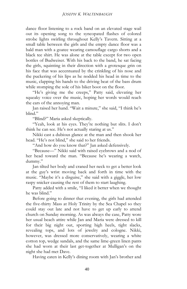dance floor listening to a rock band on an elevated stage wail out its opening song to the syncopated flashes of colored strobe lights swirling throughout Kelly's Tavern. Sitting at a small table between the girls and the empty dance floor was a bald man with a goatee wearing camouflage cargo shorts and a black tee shirt. He was alone at the table except for two open bottles of Budweiser. With his back to the band, he sat facing the girls, squinting in their direction with a grotesque grin on his face that was accentuated by the crinkling of his nose and the puckering of his lips as he nodded his head in time to the music, clapping his hands to the driving beat of the bass drum while stomping the sole of his biker boot on the floor.

"He's giving me the creeps," Patty said, elevating her squeaky voice over the music, hoping her words would reach the ears of the annoying man.

Jan raised her hand. "Wait a minute," she said, "I think he's blind."

"Blind?" Maria asked skeptically.

"Yeah, look at his eyes. They're nothing but slits. I don't think he can see. He's not actually staring at us."

Nikki cast a dubious glance at the man and then shook her head. "He's not blind," she said to her friends.

"And how do you know that?" Jan asked defensively.

"Because—" Nikki said with raised eyebrows and a nod of her head toward the man. "Because he's wearing a watch, dummy."

Jan tilted her body and craned her neck to get a better look at the guy's wrist moving back and forth in time with the music. "Maybe it's a disguise," she said with a giggle, her low raspy snicker causing the rest of them to start laughing.

Patty added with a smile, "I liked it better when we thought he was blind."

Before going to dinner that evening, the girls had attended the five-thirty Mass at Holy Trinity by the Sea Chapel so they could stay out late and not have to get up early to attend church on Sunday morning. As was always the case, Patty wore her usual beach attire while Jan and Maria were dressed to kill for their big night out, sporting high heels, tight slacks, revealing tops, and lots of jewelry and cologne. Nikki, however, was dressed more conservatively, wearing a white cotton top, wedge sandals, and the same lime-green linen pants she had worn at their last get-together at Mulligan's on the night she had met Dave.

Having eaten in Kelly's dining room with Jan's brother and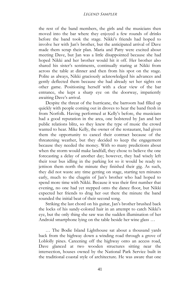the rest of the band members, the girls and the musicians then moved into the bar where they enjoyed a few rounds of drinks before the band took the stage. Nikki's friends had hoped to involve her with Jan's brother, but the anticipated arrival of Dave made them scrap their plan. Maria and Patty were excited about meeting Dave, but Jan was a little disappointed because she had hoped Nikki and her brother would hit it off. Her brother also shared his sister's sentiments, continually staring at Nikki from across the table at dinner and then from his spot on the stage. Polite as always, Nikki graciously acknowledged his advances and gently deflected them because she had already set her sights on other game. Positioning herself with a clear view of the bar entrance, she kept a sharp eye on the doorway, impatiently awaiting Dave's arrival.

Despite the threat of the hurricane, the barroom had filled up quickly with people coming out in droves to hear the band fresh in from Norfolk. Having performed at Kelly's before, the musicians had a good reputation in the area, one bolstered by Jan and her public relations blitz, so they knew the type of music the crowd wanted to hear. Mike Kelly, the owner of the restaurant, had given them the opportunity to cancel their contract because of the threatening weather, but they decided to keep the engagement because they needed the money. With so many predictions about when the storm would make landfall, they chose to believe the one forecasting a delay of another day; however, they had wisely left their tour bus idling in the parking lot so it would be ready to jettison them north the minute they finished their gig. As such, they did not waste any time getting on stage, starting ten minutes early, much to the chagrin of Jan's brother who had hoped to spend more time with Nikki. Because it was their first number that evening, no one had yet stepped onto the dance floor, but Nikki expected her friends to drag her out there the minute the band sounded the initial beat of their second song.

Striking the last chord on his guitar, Jan's brother brushed back the locks of his sandy-colored hair in an attempt to catch Nikki's eye, but the only thing she saw was the sudden illumination of her Android smartphone lying on the table beside her wine glass …

… The Bodie Island Lighthouse sat about a thousand yards back from the highway down a winding road through a grove of Loblolly pines. Careening off the highway onto an access road, Dave glanced at two wooden structures sitting near the intersection, houses owned by the National Park Service built in the traditional coastal style of architecture. He was aware that one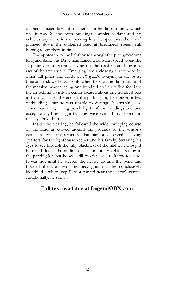#### Joseph K. Waltenbaugh

of them housed law enforcement, but he did not know which one it was. Seeing both buildings completely dark and no vehicles anywhere in the parking lots, he sped past them and plunged down the darkened road at breakneck speed, still hoping to get there in time.

The approach to the lighthouse through the pine grove was long and dark, but Dave maintained a constant speed along the serpentine route without flying off the road or crashing into any of the tree trunks. Emerging into a clearing surrounded by other tall pines and reeds of *Phragmites* swaying in the gusty breeze, he slowed down only when he saw the dim outline of the massive beacon rising one hundred and sixty-five feet into the air behind a visitor's center located about one hundred feet in front of it. At the end of the parking lot, he noticed a few outbuildings, but he was unable to distinguish anything else other than the glowing porch lights of the buildings and one exceptionally bright light flashing twice every thirty seconds in the sky above him.

Inside the clearing, he followed the wide, sweeping course of the road as curved around the grounds to the visitor's center, a two-story structure that had once served as living quarters for the lighthouse keeper and his family. Straining his eyes to see through the inky blackness of the night, he thought he could detect the outline of a sport utility vehicle sitting in the parking lot, but he was still too far away to know for sure. It was not until he steered the hearse around the bend and flooded the area with his headlights that he conclusively identified a white Jeep Patriot parked near the visitor's center. Additionally, he saw …

#### **Full text available at LegendOBX.com**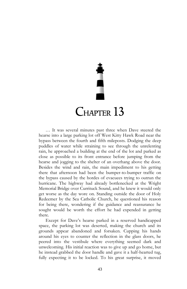# $\frac{1}{\sqrt{2}}$ CHAPTER 13

… It was several minutes past three when Dave steered the hearse into a large parking lot off West Kitty Hawk Road near the bypass between the fourth and fifth mileposts. Dodging the deep puddles of water while straining to see through the unrelenting rain, he approached a building at the end of the lot and parked as close as possible to its front entrance before jumping from the hearse and jogging to the shelter of an overhang above the door. Besides the wind and rain, the main impediment to his getting there that afternoon had been the bumper-to-bumper traffic on the bypass caused by the hordes of evacuees trying to outrun the hurricane. The highway had already bottlenecked at the Wright Memorial Bridge over Currituck Sound, and he knew it would only get worse as the day wore on. Standing outside the door of Holy Redeemer by the Sea Catholic Church, he questioned his reason for being there, wondering if the guidance and reassurance he sought would be worth the effort he had expended in getting there.

Except for Dave's hearse parked in a reserved handicapped space, the parking lot was deserted, making the church and its grounds appear abandoned and forsaken. Cupping his hands around his eyes to counter the reflection in the glass doors, he peered into the vestibule where everything seemed dark and unwelcoming. His initial reaction was to give up and go home, but he instead grabbed the door handle and gave it a half-hearted tug, fully expecting it to be locked. To his great surprise, it moved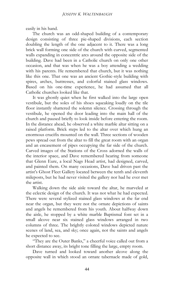easily in his hand.

The church was an odd-shaped building of a contemporary design consisting of three pie-shaped divisions, each section doubling the length of the one adjacent to it. There was a long brick wall forming one side of the church with curved, segmented walls expanding in concentric arcs around the opposite side of the building. Dave had been in a Catholic church on only one other occasion, and that was when he was a boy attending a wedding with his parents. He remembered that church, but it was nothing like this one. That one was an ancient Gothic-style building with spires, arches, buttresses, and colorful stained glass windows. Based on his one-time experience, he had assumed that all Catholic churches looked like that.

It was ghostly quiet when he first walked into the large open vestibule, but the soles of his shoes squeaking loudly on the tile floor instantly shattered the solemn silence. Crossing through the vestibule, he opened the door leading into the main hall of the church and paused briefly to look inside before entering the room. In the distance ahead, he observed a white marble altar sitting on a raised platform. Brick steps led to the altar over which hung an enormous crucifix mounted on the wall. Three sections of wooden pews spread out from the altar to fill the great room with an organ and an encasement of pipes occupying the far side of the church. Carved images of the Stations of the Cross adorned the walls of the interior space, and Dave remembered hearing from someone that Glenn Eure, a local Nags Head artist, had designed, carved, and painted them. On many occasions, Dave had driven past the artist's Ghost Fleet Gallery located between the tenth and eleventh mileposts, but he had never visited the gallery nor had he ever met the artist.

Walking down the side aisle toward the altar, he marveled at the eclectic design of the church. It was not what he had expected. There were several stylized stained glass windows at the far end near the organ, but they were not the ornate depictions of saints and angels he remembered from his youth. About halfway down the aisle, he stopped by a white marble Baptismal font set in a small alcove near six stained glass windows arranged in two columns of three. The brightly colored windows depicted nature scenes of land, sea, and sky; once again, not the saints and angels he expected to see.

"They are the Outer Banks," a cheerful voice called out from a short distance away, its bright tone filling the large, empty room.

Dave turned and looked toward another alcove along the opposite wall in which stood an ornate tabernacle made of gold,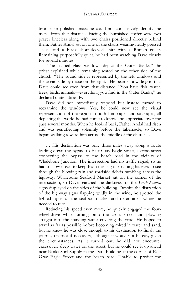#### Legend Sampler

bronze, or polished brass; he could not conclusively identify the metal from that distance. Facing the burnished coffer were two prayer kneelers along with two chairs positioned directly behind them. Father Andal sat on one of the chairs wearing neatly pressed slacks and a black short-sleeved shirt with a Roman collar. Remaining purposefully quiet, he had been watching Dave closely for several minutes.

"The stained glass windows depict the Outer Banks," the priest explained while remaining seated on the other side of the church. "The sound side is represented by the left windows and the ocean side by those on the right." He beamed a wide grin that Dave could see even from that distance. "You have fish, water, trees, birds, animals—everything you find in the Outer Banks," he declared quite jubilantly.

Dave did not immediately respond but instead turned to reexamine the windows. Yes, he could now see the visual representation of the region in both landscapes and seascapes, all depicting the world he had come to know and appreciate over the past several months. When he looked back, Father Andal had risen and was genuflecting solemnly before the tabernacle, so Dave began walking toward him across the middle of the church …

… His destination was only three miles away along a route leading down the bypass to East Gray Eagle Street, a cross street connecting the bypass to the beach road in the vicinity of Whalebone Junction. The intersection had no traffic signal, so he had to slow down to keep from missing it, straining his eyes to see through the blowing rain and roadside debris tumbling across the highway. Whalebone Seafood Market sat on the corner of the intersection, so Dave searched the darkness for the *Fresh Seafood* signs displayed on the sides of the building. Despite the distraction of the highway signs flapping wildly in the wind, he spotted the lighted signs of the seafood market and determined where he needed to turn.

Reducing his speed even more, he quickly engaged the fourwheel-drive while turning onto the cross street and plowing straight into the standing water covering the road. He hoped to travel as far as possible before becoming mired in water and sand, but he knew he was close enough to his destination to finish the journey on foot if necessary, although it would not be easy given the circumstances. As it turned out, he did not encounter excessively deep water on the street, but he could see it up ahead near Banks Surf Supply in the Dare Building at the corner of East Gray Eagle Street and the beach road. Unable to predict the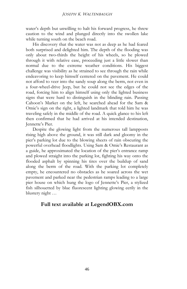water's depth but unwilling to halt his forward progress, he threw caution to the wind and plunged directly into the swollen lake while turning south on the beach road.

His discovery that the water was not as deep as he had feared both surprised and delighted him. The depth of the flooding was only about two-thirds the height of his wheels, so he plowed through it with relative ease, proceeding just a little slower than normal due to the extreme weather conditions. His biggest challenge was visibility as he strained to see through the rain while endeavoring to keep himself centered on the pavement. He could not afford to veer into the sandy soup along the berm, not even in a four-wheel-drive Jeep, but he could not see the edges of the road, forcing him to align himself using only the lighted business signs that were hard to distinguish in the blinding rain. Passing Cahoon's Market on the left, he searched ahead for the Sam & Omie's sign on the right, a lighted landmark that told him he was traveling safely in the middle of the road. A quick glance to his left then confirmed that he had arrived at his intended destination, Jennette's Pier.

Despite the glowing light from the numerous tall lampposts rising high above the ground, it was still dark and gloomy in the pier's parking lot due to the blowing sheets of rain obscuring the powerful overhead floodlights. Using Sam & Omie's Restaurant as a guide, he approximated the location of the pier's entrance ramp and plowed straight into the parking lot, fighting his way onto the flooded asphalt by spinning his tires over the buildup of sand along the berm of the road. With the parking lot completely empty, he encountered no obstacles as he soared across the wet pavement and parked near the pedestrian ramps leading to a large pier house on which hung the logo of Jennette's Pier, a stylized fish silhouetted by blue fluorescent lighting glowing eerily in the blustery night …

#### **Full text available at LegendOBX.com**